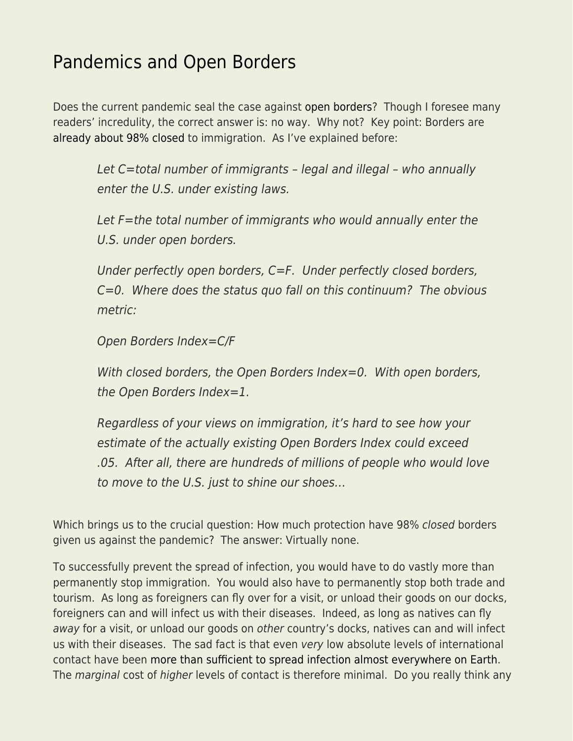## [Pandemics and Open Borders](https://everything-voluntary.com/pandemics-and-open-borders)

Does the current pandemic seal the case against [open borders?](https://www.smbc-comics.com/openborders/) Though I foresee many readers' incredulity, the correct answer is: no way. Why not? Key point: Borders are [already about 98% closed](https://www.econlib.org/archives/2012/11/some_unpleasant.html) to immigration. As I've explained before:

Let C=total number of immigrants – legal and illegal – who annually enter the U.S. under existing laws.

Let F=the total number of immigrants who would annually enter the U.S. under open borders.

Under perfectly open borders, C=F. Under perfectly closed borders, C=0. Where does the status quo fall on this continuum? The obvious metric:

Open Borders Index=C/F

With closed borders, the Open Borders Index=0. With open borders, the Open Borders Index=1.

Regardless of your views on immigration, it's hard to see how your estimate of the actually existing Open Borders Index could exceed .05. After all, there are hundreds of millions of people who would love to move to the U.S. just to shine our shoes…

Which brings us to the crucial question: How much protection have 98% closed borders given us against the pandemic? The answer: Virtually none.

To successfully prevent the spread of infection, you would have to do vastly more than permanently stop immigration. You would also have to permanently stop both trade and tourism. As long as foreigners can fly over for a visit, or unload their goods on our docks, foreigners can and will infect us with their diseases. Indeed, as long as natives can fly away for a visit, or unload our goods on other country's docks, natives can and will infect us with their diseases. The sad fact is that even very low absolute levels of international contact have been [more than sufficient to spread infection almost everywhere on Earth.](https://www.worldometers.info/coronavirus/) The marginal cost of higher levels of contact is therefore minimal. Do you really think any